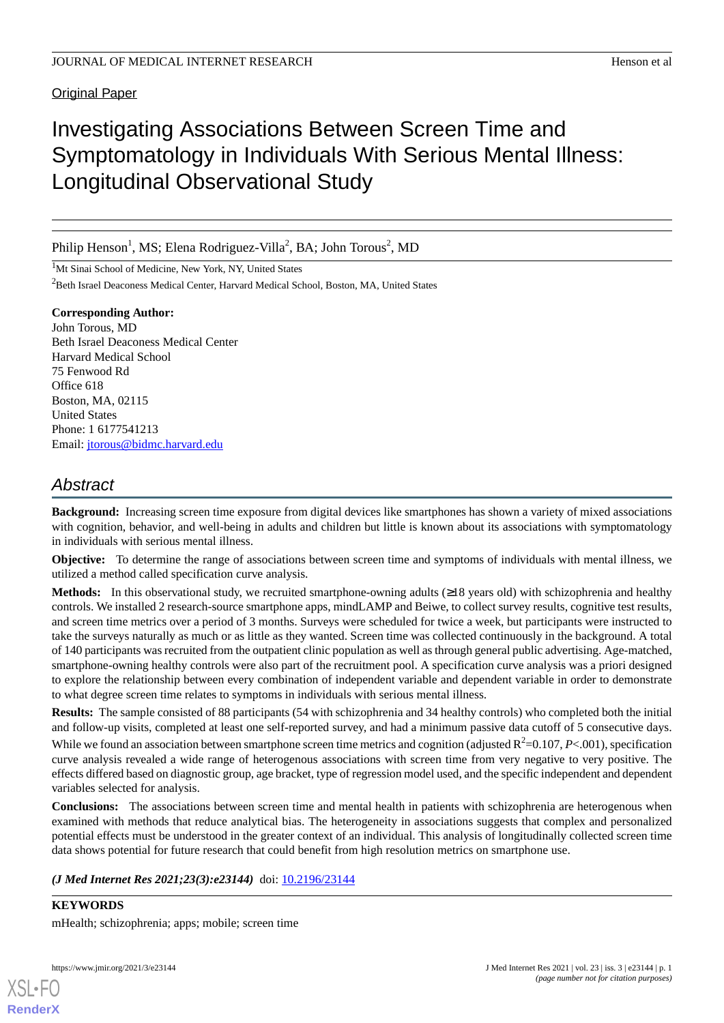**Original Paper** 

# Investigating Associations Between Screen Time and Symptomatology in Individuals With Serious Mental Illness: Longitudinal Observational Study

Philip Henson<sup>1</sup>, MS; Elena Rodriguez-Villa<sup>2</sup>, BA; John Torous<sup>2</sup>, MD

<sup>1</sup>Mt Sinai School of Medicine, New York, NY, United States

<sup>2</sup>Beth Israel Deaconess Medical Center, Harvard Medical School, Boston, MA, United States

**Corresponding Author:** John Torous, MD Beth Israel Deaconess Medical Center Harvard Medical School 75 Fenwood Rd Office 618 Boston, MA, 02115 United States Phone: 1 6177541213 Email: [jtorous@bidmc.harvard.edu](mailto:jtorous@bidmc.harvard.edu)

# *Abstract*

**Background:** Increasing screen time exposure from digital devices like smartphones has shown a variety of mixed associations with cognition, behavior, and well-being in adults and children but little is known about its associations with symptomatology in individuals with serious mental illness.

**Objective:** To determine the range of associations between screen time and symptoms of individuals with mental illness, we utilized a method called specification curve analysis.

**Methods:** In this observational study, we recruited smartphone-owning adults (≥18 years old) with schizophrenia and healthy controls. We installed 2 research-source smartphone apps, mindLAMP and Beiwe, to collect survey results, cognitive test results, and screen time metrics over a period of 3 months. Surveys were scheduled for twice a week, but participants were instructed to take the surveys naturally as much or as little as they wanted. Screen time was collected continuously in the background. A total of 140 participants was recruited from the outpatient clinic population as well as through general public advertising. Age-matched, smartphone-owning healthy controls were also part of the recruitment pool. A specification curve analysis was a priori designed to explore the relationship between every combination of independent variable and dependent variable in order to demonstrate to what degree screen time relates to symptoms in individuals with serious mental illness.

**Results:** The sample consisted of 88 participants (54 with schizophrenia and 34 healthy controls) who completed both the initial and follow-up visits, completed at least one self-reported survey, and had a minimum passive data cutoff of 5 consecutive days.

While we found an association between smartphone screen time metrics and cognition (adjusted  $R^2$ =0.107, *P*<.001), specification curve analysis revealed a wide range of heterogenous associations with screen time from very negative to very positive. The effects differed based on diagnostic group, age bracket, type of regression model used, and the specific independent and dependent variables selected for analysis.

**Conclusions:** The associations between screen time and mental health in patients with schizophrenia are heterogenous when examined with methods that reduce analytical bias. The heterogeneity in associations suggests that complex and personalized potential effects must be understood in the greater context of an individual. This analysis of longitudinally collected screen time data shows potential for future research that could benefit from high resolution metrics on smartphone use.

*(J Med Internet Res 2021;23(3):e23144)* doi:  $10.2196/23144$ 

**KEYWORDS** mHealth; schizophrenia; apps; mobile; screen time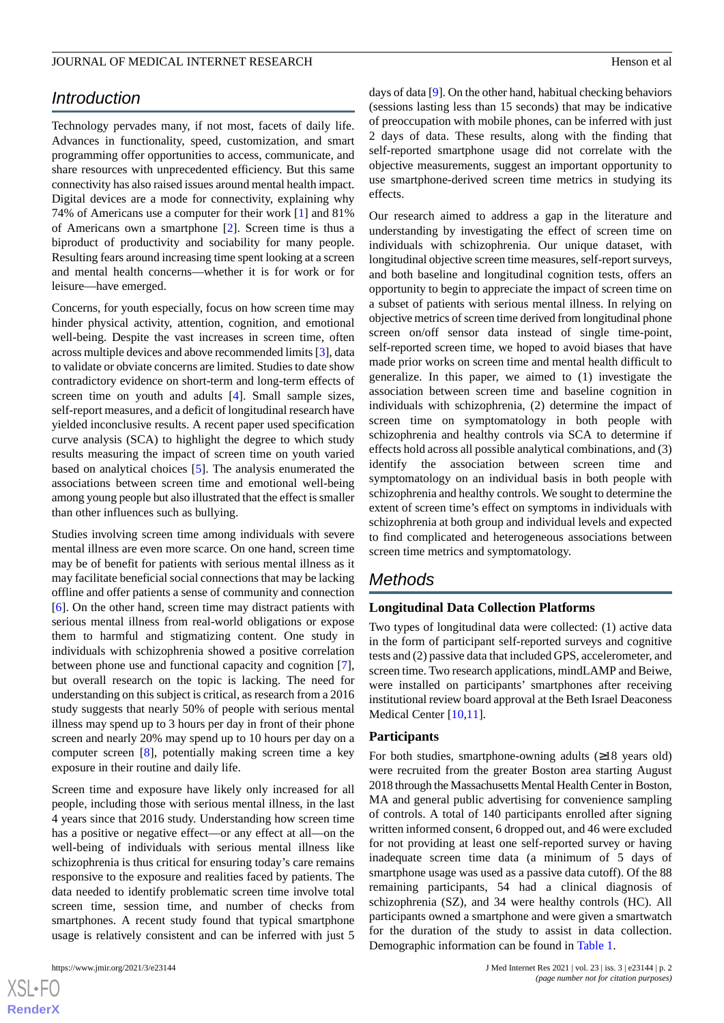# *Introduction*

Technology pervades many, if not most, facets of daily life. Advances in functionality, speed, customization, and smart programming offer opportunities to access, communicate, and share resources with unprecedented efficiency. But this same connectivity has also raised issues around mental health impact. Digital devices are a mode for connectivity, explaining why 74% of Americans use a computer for their work [\[1](#page-6-0)] and 81% of Americans own a smartphone [[2\]](#page-6-1). Screen time is thus a biproduct of productivity and sociability for many people. Resulting fears around increasing time spent looking at a screen and mental health concerns—whether it is for work or for leisure—have emerged.

Concerns, for youth especially, focus on how screen time may hinder physical activity, attention, cognition, and emotional well-being. Despite the vast increases in screen time, often across multiple devices and above recommended limits [[3\]](#page-6-2), data to validate or obviate concerns are limited. Studies to date show contradictory evidence on short-term and long-term effects of screen time on youth and adults [[4\]](#page-6-3). Small sample sizes, self-report measures, and a deficit of longitudinal research have yielded inconclusive results. A recent paper used specification curve analysis (SCA) to highlight the degree to which study results measuring the impact of screen time on youth varied based on analytical choices [[5\]](#page-6-4). The analysis enumerated the associations between screen time and emotional well-being among young people but also illustrated that the effect is smaller than other influences such as bullying.

Studies involving screen time among individuals with severe mental illness are even more scarce. On one hand, screen time may be of benefit for patients with serious mental illness as it may facilitate beneficial social connections that may be lacking offline and offer patients a sense of community and connection [[6\]](#page-6-5). On the other hand, screen time may distract patients with serious mental illness from real-world obligations or expose them to harmful and stigmatizing content. One study in individuals with schizophrenia showed a positive correlation between phone use and functional capacity and cognition [[7\]](#page-6-6), but overall research on the topic is lacking. The need for understanding on this subject is critical, as research from a 2016 study suggests that nearly 50% of people with serious mental illness may spend up to 3 hours per day in front of their phone screen and nearly 20% may spend up to 10 hours per day on a computer screen [\[8](#page-6-7)], potentially making screen time a key exposure in their routine and daily life.

Screen time and exposure have likely only increased for all people, including those with serious mental illness, in the last 4 years since that 2016 study. Understanding how screen time has a positive or negative effect—or any effect at all—on the well-being of individuals with serious mental illness like schizophrenia is thus critical for ensuring today's care remains responsive to the exposure and realities faced by patients. The data needed to identify problematic screen time involve total screen time, session time, and number of checks from smartphones. A recent study found that typical smartphone usage is relatively consistent and can be inferred with just 5

 $XS$ -FO **[RenderX](http://www.renderx.com/)** days of data [[9\]](#page-6-8). On the other hand, habitual checking behaviors (sessions lasting less than 15 seconds) that may be indicative of preoccupation with mobile phones, can be inferred with just 2 days of data. These results, along with the finding that self-reported smartphone usage did not correlate with the objective measurements, suggest an important opportunity to use smartphone-derived screen time metrics in studying its effects.

Our research aimed to address a gap in the literature and understanding by investigating the effect of screen time on individuals with schizophrenia. Our unique dataset, with longitudinal objective screen time measures, self-report surveys, and both baseline and longitudinal cognition tests, offers an opportunity to begin to appreciate the impact of screen time on a subset of patients with serious mental illness. In relying on objective metrics of screen time derived from longitudinal phone screen on/off sensor data instead of single time-point, self-reported screen time, we hoped to avoid biases that have made prior works on screen time and mental health difficult to generalize. In this paper, we aimed to (1) investigate the association between screen time and baseline cognition in individuals with schizophrenia, (2) determine the impact of screen time on symptomatology in both people with schizophrenia and healthy controls via SCA to determine if effects hold across all possible analytical combinations, and (3) identify the association between screen time and symptomatology on an individual basis in both people with schizophrenia and healthy controls. We sought to determine the extent of screen time's effect on symptoms in individuals with schizophrenia at both group and individual levels and expected to find complicated and heterogeneous associations between screen time metrics and symptomatology.

# *Methods*

## **Longitudinal Data Collection Platforms**

Two types of longitudinal data were collected: (1) active data in the form of participant self-reported surveys and cognitive tests and (2) passive data that included GPS, accelerometer, and screen time. Two research applications, mindLAMP and Beiwe, were installed on participants' smartphones after receiving institutional review board approval at the Beth Israel Deaconess Medical Center [\[10](#page-6-9),[11\]](#page-6-10).

#### **Participants**

For both studies, smartphone-owning adults  $(≥18$  years old) were recruited from the greater Boston area starting August 2018 through the Massachusetts Mental Health Center in Boston, MA and general public advertising for convenience sampling of controls. A total of 140 participants enrolled after signing written informed consent, 6 dropped out, and 46 were excluded for not providing at least one self-reported survey or having inadequate screen time data (a minimum of 5 days of smartphone usage was used as a passive data cutoff). Of the 88 remaining participants, 54 had a clinical diagnosis of schizophrenia (SZ), and 34 were healthy controls (HC). All participants owned a smartphone and were given a smartwatch for the duration of the study to assist in data collection. Demographic information can be found in [Table 1](#page-2-0).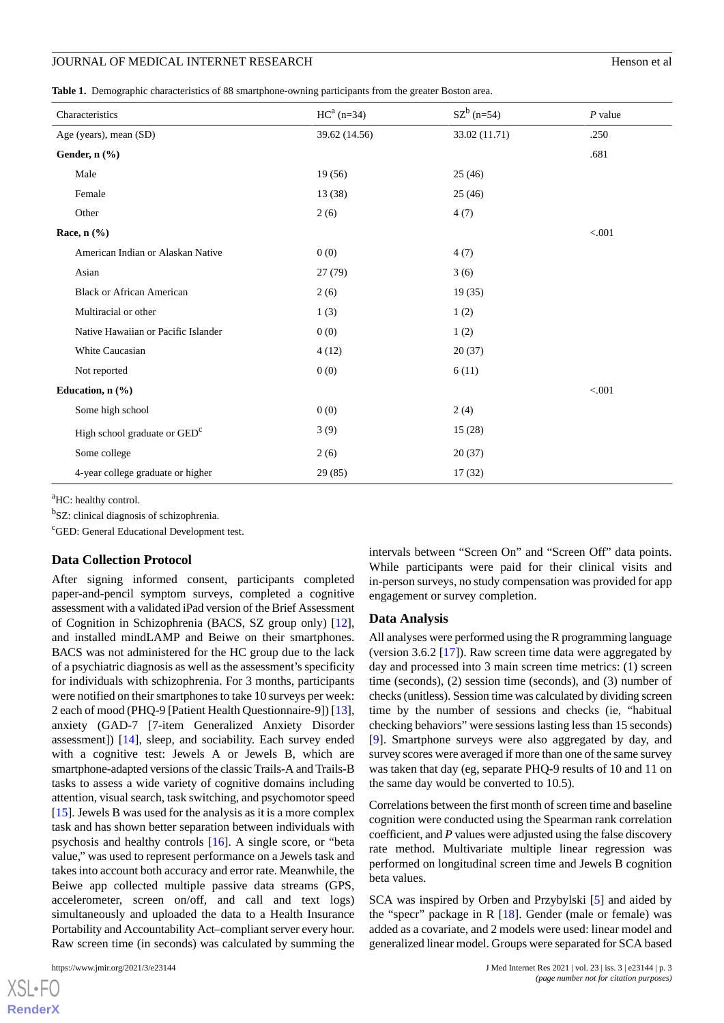#### JOURNAL OF MEDICAL INTERNET RESEARCH Henson et al.

<span id="page-2-0"></span>**Table 1.** Demographic characteristics of 88 smartphone-owning participants from the greater Boston area.

| Characteristics                          | $HC^a$ (n=34) | $SZ^b$ (n=54) | $P$ value |
|------------------------------------------|---------------|---------------|-----------|
| Age (years), mean (SD)                   | 39.62 (14.56) | 33.02 (11.71) | .250      |
| Gender, n (%)                            |               |               | .681      |
| Male                                     | 19(56)        | 25(46)        |           |
| Female                                   | 13(38)        | 25(46)        |           |
| Other                                    | 2(6)          | 4(7)          |           |
| Race, $n$ (%)                            |               |               | < 0.001   |
| American Indian or Alaskan Native        | 0(0)          | 4(7)          |           |
| Asian                                    | 27(79)        | 3(6)          |           |
| <b>Black or African American</b>         | 2(6)          | 19(35)        |           |
| Multiracial or other                     | 1(3)          | 1(2)          |           |
| Native Hawaiian or Pacific Islander      | 0(0)          | 1(2)          |           |
| White Caucasian                          | 4(12)         | 20(37)        |           |
| Not reported                             | 0(0)          | 6(11)         |           |
| Education, $n$ $(\%)$                    |               |               | < 0.01    |
| Some high school                         | 0(0)          | 2(4)          |           |
| High school graduate or GED <sup>c</sup> | 3(9)          | 15 (28)       |           |
| Some college                             | 2(6)          | 20(37)        |           |
| 4-year college graduate or higher        | 29(85)        | 17(32)        |           |

<sup>a</sup>HC: healthy control.

<sup>b</sup>SZ: clinical diagnosis of schizophrenia.

<sup>c</sup>GED: General Educational Development test.

#### **Data Collection Protocol**

After signing informed consent, participants completed paper-and-pencil symptom surveys, completed a cognitive assessment with a validated iPad version of the Brief Assessment of Cognition in Schizophrenia (BACS, SZ group only) [[12\]](#page-6-11), and installed mindLAMP and Beiwe on their smartphones. BACS was not administered for the HC group due to the lack of a psychiatric diagnosis as well as the assessment's specificity for individuals with schizophrenia. For 3 months, participants were notified on their smartphones to take 10 surveys per week: 2 each of mood (PHQ-9 [Patient Health Questionnaire-9]) [[13\]](#page-6-12), anxiety (GAD-7 [7-item Generalized Anxiety Disorder assessment]) [[14\]](#page-6-13), sleep, and sociability. Each survey ended with a cognitive test: Jewels A or Jewels B, which are smartphone-adapted versions of the classic Trails-A and Trails-B tasks to assess a wide variety of cognitive domains including attention, visual search, task switching, and psychomotor speed [[15\]](#page-6-14). Jewels B was used for the analysis as it is a more complex task and has shown better separation between individuals with psychosis and healthy controls [\[16](#page-6-15)]. A single score, or "beta value," was used to represent performance on a Jewels task and takes into account both accuracy and error rate. Meanwhile, the Beiwe app collected multiple passive data streams (GPS, accelerometer, screen on/off, and call and text logs) simultaneously and uploaded the data to a Health Insurance Portability and Accountability Act–compliant server every hour. Raw screen time (in seconds) was calculated by summing the

intervals between "Screen On" and "Screen Off" data points. While participants were paid for their clinical visits and in-person surveys, no study compensation was provided for app engagement or survey completion.

#### **Data Analysis**

All analyses were performed using the R programming language (version 3.6.2  $[17]$  $[17]$ ). Raw screen time data were aggregated by day and processed into 3 main screen time metrics: (1) screen time (seconds), (2) session time (seconds), and (3) number of checks (unitless). Session time was calculated by dividing screen time by the number of sessions and checks (ie, "habitual checking behaviors" were sessions lasting less than 15 seconds) [[9\]](#page-6-8). Smartphone surveys were also aggregated by day, and survey scores were averaged if more than one of the same survey was taken that day (eg, separate PHQ-9 results of 10 and 11 on the same day would be converted to 10.5).

Correlations between the first month of screen time and baseline cognition were conducted using the Spearman rank correlation coefficient, and *P* values were adjusted using the false discovery rate method. Multivariate multiple linear regression was performed on longitudinal screen time and Jewels B cognition beta values.

SCA was inspired by Orben and Przybylski [[5\]](#page-6-4) and aided by the "specr" package in  $R$  [\[18](#page-6-17)]. Gender (male or female) was added as a covariate, and 2 models were used: linear model and generalized linear model. Groups were separated for SCA based

```
XS-FO
RenderX
```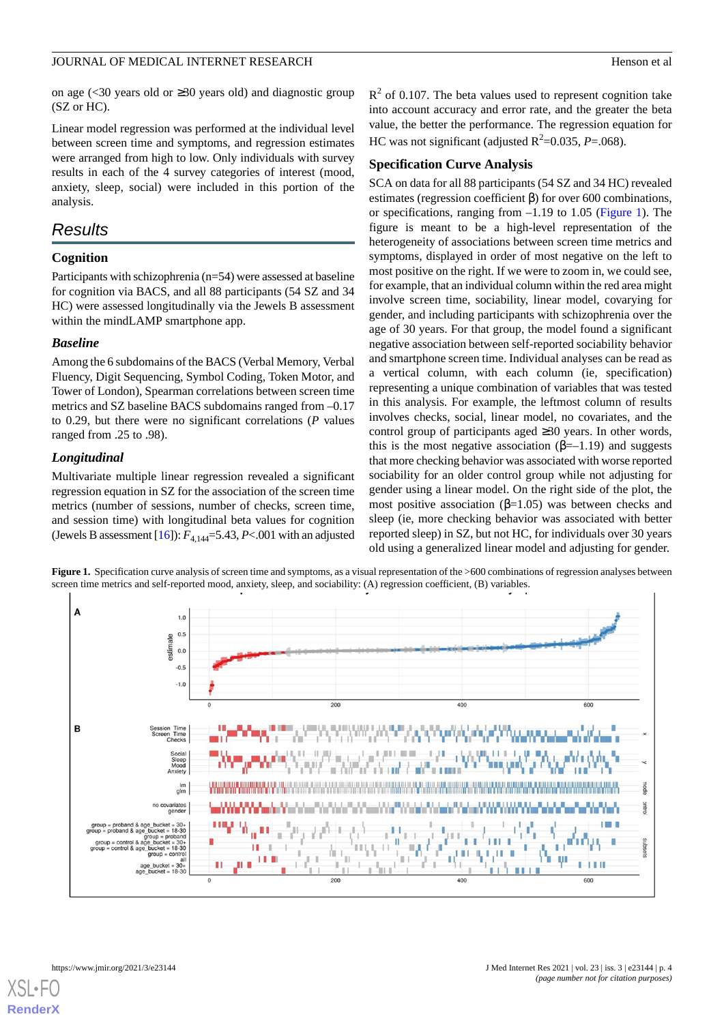on age (<30 years old or ≥30 years old) and diagnostic group (SZ or HC).

Linear model regression was performed at the individual level between screen time and symptoms, and regression estimates were arranged from high to low. Only individuals with survey results in each of the 4 survey categories of interest (mood, anxiety, sleep, social) were included in this portion of the analysis.

# *Results*

# **Cognition**

Participants with schizophrenia (n=54) were assessed at baseline for cognition via BACS, and all 88 participants (54 SZ and 34 HC) were assessed longitudinally via the Jewels B assessment within the mindLAMP smartphone app.

## *Baseline*

Among the 6 subdomains of the BACS (Verbal Memory, Verbal Fluency, Digit Sequencing, Symbol Coding, Token Motor, and Tower of London), Spearman correlations between screen time metrics and SZ baseline BACS subdomains ranged from  $-0.17$ to 0.29, but there were no significant correlations (*P* values ranged from .25 to .98).

# *Longitudinal*

<span id="page-3-0"></span>Multivariate multiple linear regression revealed a significant regression equation in SZ for the association of the screen time metrics (number of sessions, number of checks, screen time, and session time) with longitudinal beta values for cognition (Jewels B assessment [\[16\]](#page-6-15)):  $F_{4,144} = 5.43$ , *P*<.001 with an adjusted  $R<sup>2</sup>$  of 0.107. The beta values used to represent cognition take into account accuracy and error rate, and the greater the beta value, the better the performance. The regression equation for HC was not significant (adjusted  $R^2$ =0.035, *P*=.068).

## **Specification Curve Analysis**

SCA on data for all 88 participants (54 SZ and 34 HC) revealed estimates (regression coefficient β) for over 600 combinations, or specifications, ranging from –1.19 to 1.05 ([Figure 1](#page-3-0)). The figure is meant to be a high-level representation of the heterogeneity of associations between screen time metrics and symptoms, displayed in order of most negative on the left to most positive on the right. If we were to zoom in, we could see, for example, that an individual column within the red area might involve screen time, sociability, linear model, covarying for gender, and including participants with schizophrenia over the age of 30 years. For that group, the model found a significant negative association between self-reported sociability behavior and smartphone screen time. Individual analyses can be read as a vertical column, with each column (ie, specification) representing a unique combination of variables that was tested in this analysis. For example, the leftmost column of results involves checks, social, linear model, no covariates, and the control group of participants aged ≥30 years. In other words, this is the most negative association  $(\beta=-1.19)$  and suggests that more checking behavior was associated with worse reported sociability for an older control group while not adjusting for gender using a linear model. On the right side of the plot, the most positive association ( $\beta$ =1.05) was between checks and sleep (ie, more checking behavior was associated with better reported sleep) in SZ, but not HC, for individuals over 30 years old using a generalized linear model and adjusting for gender.

**Figure 1.** Specification curve analysis of screen time and symptoms, as a visual representation of the >600 combinations of regression analyses between screen time metrics and self-reported mood, anxiety, sleep, and sociability: (A) regression coefficient, (B) variables.

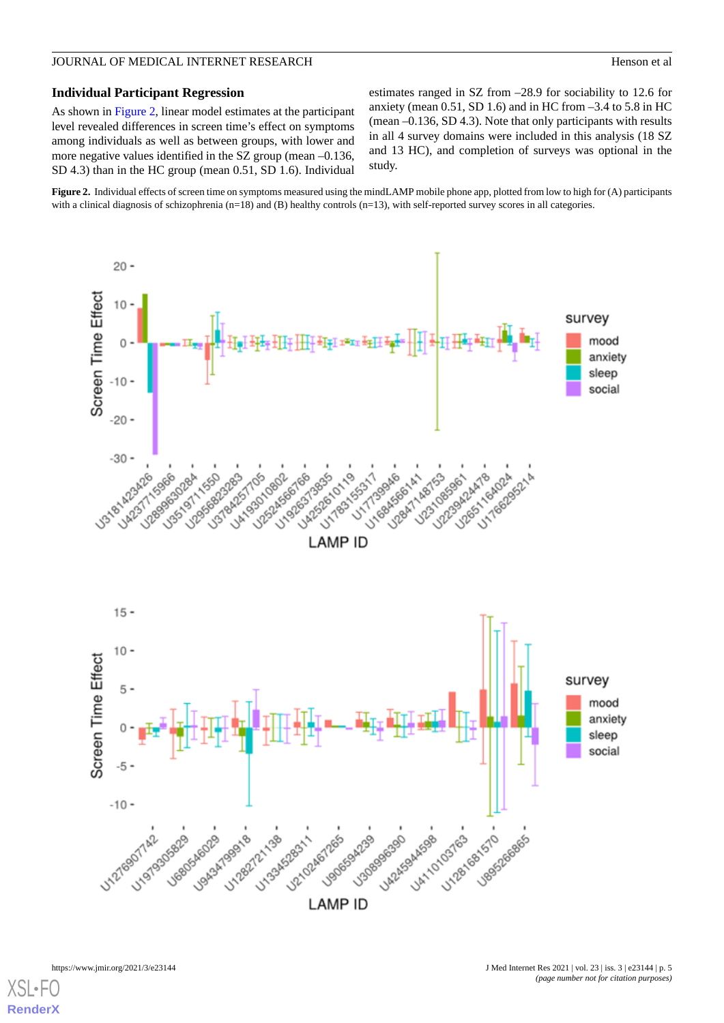## JOURNAL OF MEDICAL INTERNET RESEARCH Henson et al.

#### **Individual Participant Regression**

As shown in [Figure 2,](#page-4-0) linear model estimates at the participant level revealed differences in screen time's effect on symptoms among individuals as well as between groups, with lower and more negative values identified in the SZ group (mean –0.136, SD 4.3) than in the HC group (mean 0.51, SD 1.6). Individual estimates ranged in SZ from –28.9 for sociability to 12.6 for anxiety (mean  $0.51$ , SD 1.6) and in HC from  $-3.4$  to 5.8 in HC (mean –0.136, SD 4.3). Note that only participants with results in all 4 survey domains were included in this analysis (18 SZ and 13 HC), and completion of surveys was optional in the study.

<span id="page-4-0"></span>**Figure 2.** Individual effects of screen time on symptoms measured using the mindLAMP mobile phone app, plotted from low to high for (A) participants with a clinical diagnosis of schizophrenia (n=18) and (B) healthy controls (n=13), with self-reported survey scores in all categories.

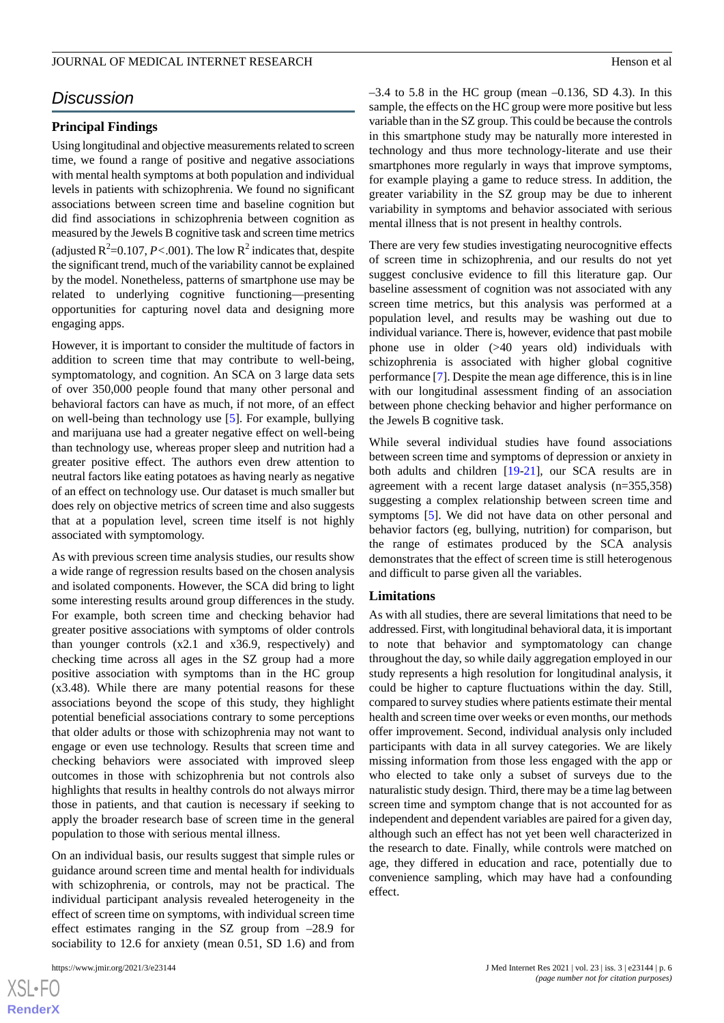# *Discussion*

#### **Principal Findings**

Using longitudinal and objective measurements related to screen time, we found a range of positive and negative associations with mental health symptoms at both population and individual levels in patients with schizophrenia. We found no significant associations between screen time and baseline cognition but did find associations in schizophrenia between cognition as measured by the Jewels B cognitive task and screen time metrics (adjusted  $R^2$ =0.107, *P*<.001). The low  $R^2$  indicates that, despite the significant trend, much of the variability cannot be explained by the model. Nonetheless, patterns of smartphone use may be related to underlying cognitive functioning—presenting opportunities for capturing novel data and designing more engaging apps.

However, it is important to consider the multitude of factors in addition to screen time that may contribute to well-being, symptomatology, and cognition. An SCA on 3 large data sets of over 350,000 people found that many other personal and behavioral factors can have as much, if not more, of an effect on well-being than technology use [[5\]](#page-6-4). For example, bullying and marijuana use had a greater negative effect on well-being than technology use, whereas proper sleep and nutrition had a greater positive effect. The authors even drew attention to neutral factors like eating potatoes as having nearly as negative of an effect on technology use. Our dataset is much smaller but does rely on objective metrics of screen time and also suggests that at a population level, screen time itself is not highly associated with symptomology.

As with previous screen time analysis studies, our results show a wide range of regression results based on the chosen analysis and isolated components. However, the SCA did bring to light some interesting results around group differences in the study. For example, both screen time and checking behavior had greater positive associations with symptoms of older controls than younger controls (x2.1 and x36.9, respectively) and checking time across all ages in the SZ group had a more positive association with symptoms than in the HC group (x3.48). While there are many potential reasons for these associations beyond the scope of this study, they highlight potential beneficial associations contrary to some perceptions that older adults or those with schizophrenia may not want to engage or even use technology. Results that screen time and checking behaviors were associated with improved sleep outcomes in those with schizophrenia but not controls also highlights that results in healthy controls do not always mirror those in patients, and that caution is necessary if seeking to apply the broader research base of screen time in the general population to those with serious mental illness.

On an individual basis, our results suggest that simple rules or guidance around screen time and mental health for individuals with schizophrenia, or controls, may not be practical. The individual participant analysis revealed heterogeneity in the effect of screen time on symptoms, with individual screen time effect estimates ranging in the SZ group from –28.9 for sociability to 12.6 for anxiety (mean 0.51, SD 1.6) and from

 $-3.4$  to 5.8 in the HC group (mean  $-0.136$ , SD 4.3). In this sample, the effects on the HC group were more positive but less variable than in the SZ group. This could be because the controls in this smartphone study may be naturally more interested in technology and thus more technology-literate and use their smartphones more regularly in ways that improve symptoms, for example playing a game to reduce stress. In addition, the greater variability in the SZ group may be due to inherent variability in symptoms and behavior associated with serious mental illness that is not present in healthy controls.

There are very few studies investigating neurocognitive effects of screen time in schizophrenia, and our results do not yet suggest conclusive evidence to fill this literature gap. Our baseline assessment of cognition was not associated with any screen time metrics, but this analysis was performed at a population level, and results may be washing out due to individual variance. There is, however, evidence that past mobile phone use in older (>40 years old) individuals with schizophrenia is associated with higher global cognitive performance [\[7](#page-6-6)]. Despite the mean age difference, this is in line with our longitudinal assessment finding of an association between phone checking behavior and higher performance on the Jewels B cognitive task.

While several individual studies have found associations between screen time and symptoms of depression or anxiety in both adults and children [[19-](#page-6-18)[21\]](#page-7-0), our SCA results are in agreement with a recent large dataset analysis (n=355,358) suggesting a complex relationship between screen time and symptoms [\[5](#page-6-4)]. We did not have data on other personal and behavior factors (eg, bullying, nutrition) for comparison, but the range of estimates produced by the SCA analysis demonstrates that the effect of screen time is still heterogenous and difficult to parse given all the variables.

#### **Limitations**

As with all studies, there are several limitations that need to be addressed. First, with longitudinal behavioral data, it is important to note that behavior and symptomatology can change throughout the day, so while daily aggregation employed in our study represents a high resolution for longitudinal analysis, it could be higher to capture fluctuations within the day. Still, compared to survey studies where patients estimate their mental health and screen time over weeks or even months, our methods offer improvement. Second, individual analysis only included participants with data in all survey categories. We are likely missing information from those less engaged with the app or who elected to take only a subset of surveys due to the naturalistic study design. Third, there may be a time lag between screen time and symptom change that is not accounted for as independent and dependent variables are paired for a given day, although such an effect has not yet been well characterized in the research to date. Finally, while controls were matched on age, they differed in education and race, potentially due to convenience sampling, which may have had a confounding effect.

```
XS-FO
RenderX
```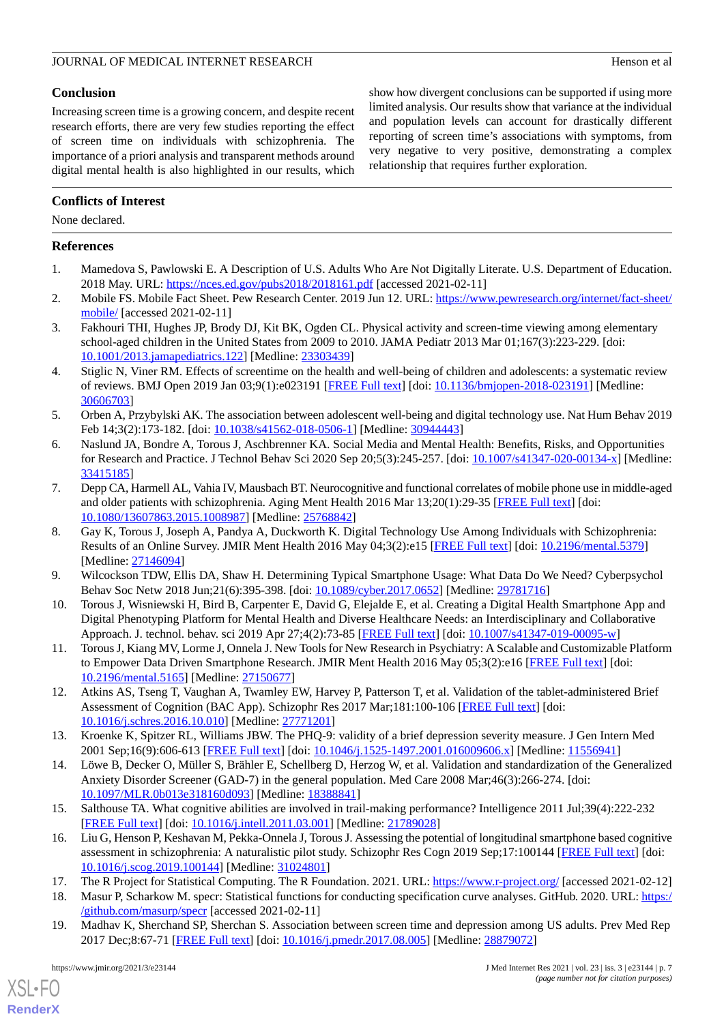# **Conclusion**

Increasing screen time is a growing concern, and despite recent research efforts, there are very few studies reporting the effect of screen time on individuals with schizophrenia. The importance of a priori analysis and transparent methods around digital mental health is also highlighted in our results, which show how divergent conclusions can be supported if using more limited analysis. Our results show that variance at the individual and population levels can account for drastically different reporting of screen time's associations with symptoms, from very negative to very positive, demonstrating a complex relationship that requires further exploration.

# **Conflicts of Interest**

None declared.

# <span id="page-6-0"></span>**References**

- <span id="page-6-1"></span>1. Mamedova S, Pawlowski E. A Description of U.S. Adults Who Are Not Digitally Literate. U.S. Department of Education. 2018 May. URL: <https://nces.ed.gov/pubs2018/2018161.pdf> [accessed 2021-02-11]
- <span id="page-6-2"></span>2. Mobile FS. Mobile Fact Sheet. Pew Research Center. 2019 Jun 12. URL: [https://www.pewresearch.org/internet/fact-sheet/](https://www.pewresearch.org/internet/fact-sheet/mobile/) [mobile/](https://www.pewresearch.org/internet/fact-sheet/mobile/) [accessed 2021-02-11]
- <span id="page-6-3"></span>3. Fakhouri THI, Hughes JP, Brody DJ, Kit BK, Ogden CL. Physical activity and screen-time viewing among elementary school-aged children in the United States from 2009 to 2010. JAMA Pediatr 2013 Mar 01;167(3):223-229. [doi: [10.1001/2013.jamapediatrics.122](http://dx.doi.org/10.1001/2013.jamapediatrics.122)] [Medline: [23303439\]](http://www.ncbi.nlm.nih.gov/entrez/query.fcgi?cmd=Retrieve&db=PubMed&list_uids=23303439&dopt=Abstract)
- <span id="page-6-4"></span>4. Stiglic N, Viner RM. Effects of screentime on the health and well-being of children and adolescents: a systematic review of reviews. BMJ Open 2019 Jan 03;9(1):e023191 [[FREE Full text](https://bmjopen.bmj.com/lookup/pmidlookup?view=long&pmid=30606703)] [doi: [10.1136/bmjopen-2018-023191](http://dx.doi.org/10.1136/bmjopen-2018-023191)] [Medline: [30606703](http://www.ncbi.nlm.nih.gov/entrez/query.fcgi?cmd=Retrieve&db=PubMed&list_uids=30606703&dopt=Abstract)]
- <span id="page-6-5"></span>5. Orben A, Przybylski AK. The association between adolescent well-being and digital technology use. Nat Hum Behav 2019 Feb 14;3(2):173-182. [doi: [10.1038/s41562-018-0506-1](http://dx.doi.org/10.1038/s41562-018-0506-1)] [Medline: [30944443\]](http://www.ncbi.nlm.nih.gov/entrez/query.fcgi?cmd=Retrieve&db=PubMed&list_uids=30944443&dopt=Abstract)
- <span id="page-6-6"></span>6. Naslund JA, Bondre A, Torous J, Aschbrenner KA. Social Media and Mental Health: Benefits, Risks, and Opportunities for Research and Practice. J Technol Behav Sci 2020 Sep 20;5(3):245-257. [doi: [10.1007/s41347-020-00134-x\]](http://dx.doi.org/10.1007/s41347-020-00134-x) [Medline: [33415185](http://www.ncbi.nlm.nih.gov/entrez/query.fcgi?cmd=Retrieve&db=PubMed&list_uids=33415185&dopt=Abstract)]
- <span id="page-6-7"></span>7. Depp CA, Harmell AL, Vahia IV, Mausbach BT. Neurocognitive and functional correlates of mobile phone use in middle-aged and older patients with schizophrenia. Aging Ment Health 2016 Mar 13;20(1):29-35 [\[FREE Full text\]](http://europepmc.org/abstract/MED/25768842) [doi: [10.1080/13607863.2015.1008987\]](http://dx.doi.org/10.1080/13607863.2015.1008987) [Medline: [25768842\]](http://www.ncbi.nlm.nih.gov/entrez/query.fcgi?cmd=Retrieve&db=PubMed&list_uids=25768842&dopt=Abstract)
- <span id="page-6-9"></span><span id="page-6-8"></span>8. Gay K, Torous J, Joseph A, Pandya A, Duckworth K. Digital Technology Use Among Individuals with Schizophrenia: Results of an Online Survey. JMIR Ment Health 2016 May 04;3(2):e15 [\[FREE Full text\]](https://mental.jmir.org/2016/2/e15/) [doi: [10.2196/mental.5379\]](http://dx.doi.org/10.2196/mental.5379) [Medline: [27146094](http://www.ncbi.nlm.nih.gov/entrez/query.fcgi?cmd=Retrieve&db=PubMed&list_uids=27146094&dopt=Abstract)]
- <span id="page-6-10"></span>9. Wilcockson TDW, Ellis DA, Shaw H. Determining Typical Smartphone Usage: What Data Do We Need? Cyberpsychol Behav Soc Netw 2018 Jun;21(6):395-398. [doi: [10.1089/cyber.2017.0652](http://dx.doi.org/10.1089/cyber.2017.0652)] [Medline: [29781716\]](http://www.ncbi.nlm.nih.gov/entrez/query.fcgi?cmd=Retrieve&db=PubMed&list_uids=29781716&dopt=Abstract)
- <span id="page-6-11"></span>10. Torous J, Wisniewski H, Bird B, Carpenter E, David G, Elejalde E, et al. Creating a Digital Health Smartphone App and Digital Phenotyping Platform for Mental Health and Diverse Healthcare Needs: an Interdisciplinary and Collaborative Approach. J. technol. behav. sci 2019 Apr 27;4(2):73-85 [[FREE Full text](http://paperpile.com/b/Wli0t2/DTKZ)] [doi: [10.1007/s41347-019-00095-w\]](http://dx.doi.org/10.1007/s41347-019-00095-w)
- <span id="page-6-12"></span>11. Torous J, Kiang MV, Lorme J, Onnela J. New Tools for New Research in Psychiatry: A Scalable and Customizable Platform to Empower Data Driven Smartphone Research. JMIR Ment Health 2016 May 05;3(2):e16 [[FREE Full text\]](https://mental.jmir.org/2016/2/e16/) [doi: [10.2196/mental.5165\]](http://dx.doi.org/10.2196/mental.5165) [Medline: [27150677](http://www.ncbi.nlm.nih.gov/entrez/query.fcgi?cmd=Retrieve&db=PubMed&list_uids=27150677&dopt=Abstract)]
- <span id="page-6-13"></span>12. Atkins AS, Tseng T, Vaughan A, Twamley EW, Harvey P, Patterson T, et al. Validation of the tablet-administered Brief Assessment of Cognition (BAC App). Schizophr Res 2017 Mar;181:100-106 [\[FREE Full text\]](https://linkinghub.elsevier.com/retrieve/pii/S0920-9964(16)30454-6) [doi: [10.1016/j.schres.2016.10.010\]](http://dx.doi.org/10.1016/j.schres.2016.10.010) [Medline: [27771201](http://www.ncbi.nlm.nih.gov/entrez/query.fcgi?cmd=Retrieve&db=PubMed&list_uids=27771201&dopt=Abstract)]
- <span id="page-6-14"></span>13. Kroenke K, Spitzer RL, Williams JBW. The PHQ-9: validity of a brief depression severity measure. J Gen Intern Med 2001 Sep;16(9):606-613 [\[FREE Full text\]](https://onlinelibrary.wiley.com/resolve/openurl?genre=article&sid=nlm:pubmed&issn=0884-8734&date=2001&volume=16&issue=9&spage=606) [doi: [10.1046/j.1525-1497.2001.016009606.x](http://dx.doi.org/10.1046/j.1525-1497.2001.016009606.x)] [Medline: [11556941](http://www.ncbi.nlm.nih.gov/entrez/query.fcgi?cmd=Retrieve&db=PubMed&list_uids=11556941&dopt=Abstract)]
- <span id="page-6-15"></span>14. Löwe B, Decker O, Müller S, Brähler E, Schellberg D, Herzog W, et al. Validation and standardization of the Generalized Anxiety Disorder Screener (GAD-7) in the general population. Med Care 2008 Mar;46(3):266-274. [doi: [10.1097/MLR.0b013e318160d093](http://dx.doi.org/10.1097/MLR.0b013e318160d093)] [Medline: [18388841](http://www.ncbi.nlm.nih.gov/entrez/query.fcgi?cmd=Retrieve&db=PubMed&list_uids=18388841&dopt=Abstract)]
- <span id="page-6-17"></span><span id="page-6-16"></span>15. Salthouse TA. What cognitive abilities are involved in trail-making performance? Intelligence 2011 Jul;39(4):222-232 [[FREE Full text](http://europepmc.org/abstract/MED/21789028)] [doi: [10.1016/j.intell.2011.03.001](http://dx.doi.org/10.1016/j.intell.2011.03.001)] [Medline: [21789028\]](http://www.ncbi.nlm.nih.gov/entrez/query.fcgi?cmd=Retrieve&db=PubMed&list_uids=21789028&dopt=Abstract)
- <span id="page-6-18"></span>16. Liu G, Henson P, Keshavan M, Pekka-Onnela J, Torous J. Assessing the potential of longitudinal smartphone based cognitive assessment in schizophrenia: A naturalistic pilot study. Schizophr Res Cogn 2019 Sep;17:100144 [[FREE Full text](https://linkinghub.elsevier.com/retrieve/pii/S2215-0013(19)30010-1)] [doi: [10.1016/j.scog.2019.100144](http://dx.doi.org/10.1016/j.scog.2019.100144)] [Medline: [31024801](http://www.ncbi.nlm.nih.gov/entrez/query.fcgi?cmd=Retrieve&db=PubMed&list_uids=31024801&dopt=Abstract)]
- 17. The R Project for Statistical Computing. The R Foundation. 2021. URL:<https://www.r-project.org/> [accessed 2021-02-12]
- 18. Masur P, Scharkow M. specr: Statistical functions for conducting specification curve analyses. GitHub. 2020. URL: [https:/](https://github.com/masurp/specr) [/github.com/masurp/specr](https://github.com/masurp/specr) [accessed 2021-02-11]
- 19. Madhav K, Sherchand SP, Sherchan S. Association between screen time and depression among US adults. Prev Med Rep 2017 Dec;8:67-71 [[FREE Full text](https://linkinghub.elsevier.com/retrieve/pii/S2211-3355(17)30131-6)] [doi: [10.1016/j.pmedr.2017.08.005](http://dx.doi.org/10.1016/j.pmedr.2017.08.005)] [Medline: [28879072](http://www.ncbi.nlm.nih.gov/entrez/query.fcgi?cmd=Retrieve&db=PubMed&list_uids=28879072&dopt=Abstract)]